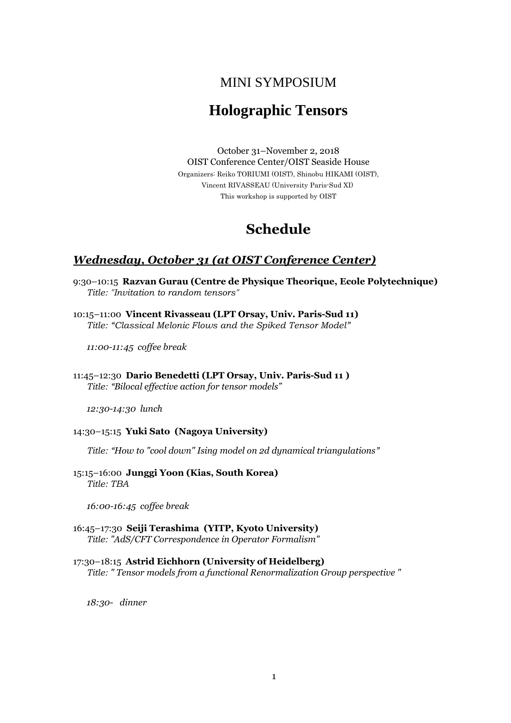## MINI SYMPOSIUM

# **Holographic Tensors**

October 31–November 2, 2018 OIST Conference Center/OIST Seaside House Organizers: Reiko TORIUMI (OIST), Shinobu HIKAMI (OIST), Vincent RIVASSEAU (University Paris-Sud XI) This workshop is supported by OIST

## **Schedule**

### *Wednesday, October 31 (at OIST Conference Center)*

- 9:30–10:15 **Razvan Gurau (Centre de Physique Theorique, Ecole Polytechnique)**  *Title: "Invitation to random tensors"*
- 10:15–11:00 **Vincent Rivasseau (LPT Orsay, Univ. Paris-Sud 11)**  *Title: "Classical Melonic Flows and the Spiked Tensor Model"*

*11:00-11:45 coffee break* 

11:45–12:30 **Dario Benedetti (LPT Orsay, Univ. Paris-Sud 11 )**  *Title: "Bilocal effective action for tensor models"* 

*12:30-14:30 lunch*

#### 14:30–15:15 **Yuki Sato (Nagoya University)**

*Title: "How to "cool down" Ising model on 2d dynamical triangulations"* 

15:15–16:00 **Junggi Yoon (Kias, South Korea)**  *Title: TBA* 

*16:00-16:45 coffee break*

16:45–17:30 **Seiji Terashima (YITP, Kyoto University)**  *Title: "AdS/CFT Correspondence in Operator Formalism"*

### 17:30–18:15 **Astrid Eichhorn (University of Heidelberg)**

*Title: " Tensor models from a functional Renormalization Group perspective "*

*18:30- dinner*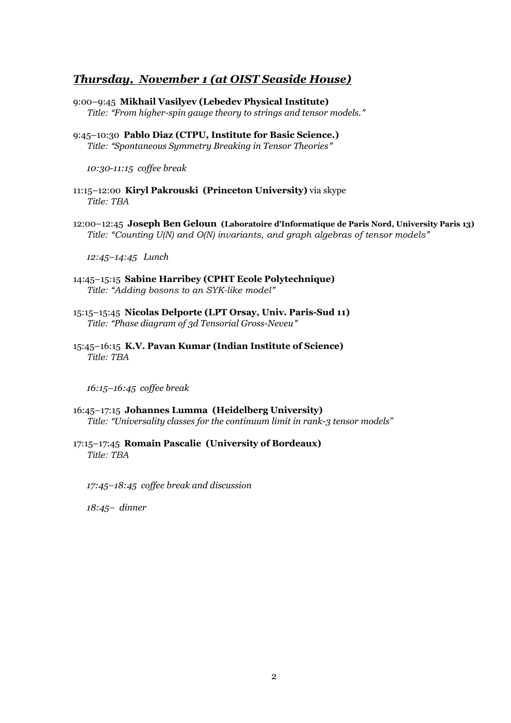### *Thursday, November 1 (at OIST Seaside House)*

- 9:00–9:45 **Mikhail Vasilyev (Lebedev Physical Institute)**  *Title: "From higher-spin gauge theory to strings and tensor models."*
- 9:45–10:30 **Pablo Diaz (CTPU, Institute for Basic Science.)**  *Title: "Spontaneous Symmetry Breaking in Tensor Theories"*

*10:30-11:15 coffee break*

- 11:15–12:00 **Kiryl Pakrouski (Princeton University)** via skype *Title: TBA*
- 12:00–12:45 **Joseph Ben Geloun (Laboratoire d'Informatique de Paris Nord, University Paris 13)**  *Title: "Counting U(N) and O(N) invariants, and graph algebras of tensor models"*

*12:45–14:45 Lunch*

- 14:45–15:15 **Sabine Harribey (CPHT Ecole Polytechnique)**  *Title: "Adding bosons to an SYK-like model"*
- 15:15–15:45 **Nicolas Delporte (LPT Orsay, Univ. Paris-Sud 11)**  *Title: "Phase diagram of 3d Tensorial Gross-Neveu"*
- 15:45–16:15 **K.V. Pavan Kumar (Indian Institute of Science)**  *Title: TBA*

*16:15–16:45 coffee break*

- 16:45–17:15 **Johannes Lumma (Heidelberg University)**  *Title: "Universality classes for the continuum limit in rank-3 tensor models"*
- 17:15–17:45 **Romain Pascalie (University of Bordeaux)**  *Title: TBA*

*17:45–18:45 coffee break and discussion*

*18:45– dinner*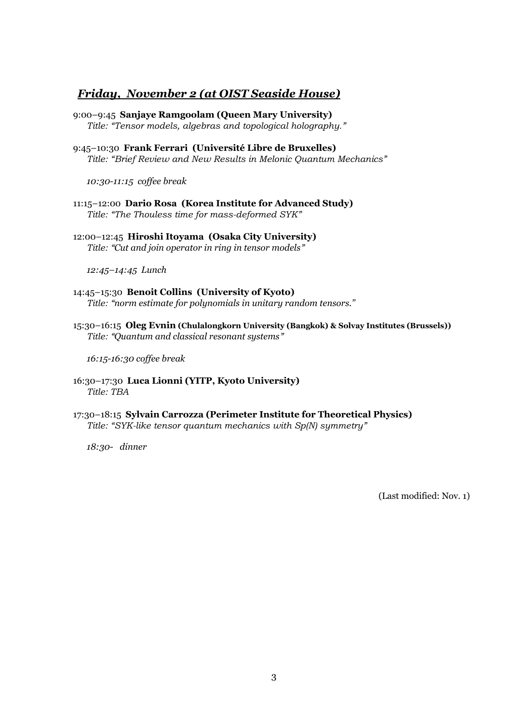## *Friday, November 2 (at OIST Seaside House)*

- 9:00–9:45 **Sanjaye Ramgoolam (Queen Mary University)**  *Title: "Tensor models, algebras and topological holography."*
- 9:45–10:30 **Frank Ferrari (Université Libre de Bruxelles)**  *Title: "Brief Review and New Results in Melonic Quantum Mechanics"*

*10:30-11:15 coffee break*

- 11:15–12:00 **Dario Rosa (Korea Institute for Advanced Study)**  *Title: "The Thouless time for mass-deformed SYK"*
- 12:00–12:45 **Hiroshi Itoyama (Osaka City University)**  *Title: "Cut and join operator in ring in tensor models"*

*12:45–14:45 Lunch*

- 14:45–15:30 **Benoit Collins (University of Kyoto)**  *Title: "norm estimate for polynomials in unitary random tensors."*
- 15:30–16:15 **Oleg Evnin (Chulalongkorn University (Bangkok) & Solvay Institutes (Brussels))**  *Title: "Quantum and classical resonant systems"*

*16:15-16:30 coffee break*

- 16:30–17:30 **Luca Lionni (YITP, Kyoto University)**  *Title: TBA*
- 17:30–18:15 **Sylvain Carrozza (Perimeter Institute for Theoretical Physics)**  *Title: "SYK-like tensor quantum mechanics with Sp(N) symmetry"*

*18:30- dinner* 

(Last modified: Nov. 1)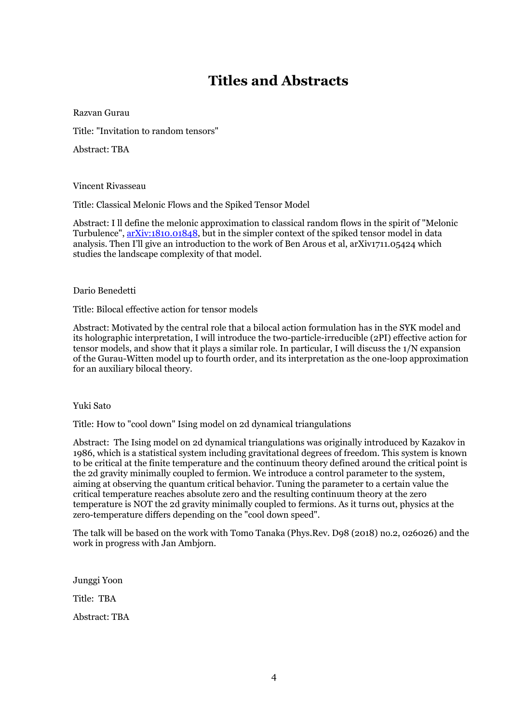# **Titles and Abstracts**

Razvan Gurau

Title: "Invitation to random tensors"

Abstract: TBA

Vincent Rivasseau

Title: Classical Melonic Flows and the Spiked Tensor Model

Abstract: I ll define the melonic approximation to classical random flows in the spirit of "Melonic" Turbulence",  $arXiv:1810.01848$ , but in the simpler context of the spiked tensor model in data analysis. Then I'll give an introduction to the work of Ben Arous et al, arXiv1711.05424 which studies the landscape complexity of that model.

Dario Benedetti

Title: Bilocal effective action for tensor models

Abstract: Motivated by the central role that a bilocal action formulation has in the SYK model and its holographic interpretation, I will introduce the two-particle-irreducible (2PI) effective action for tensor models, and show that it plays a similar role. In particular, I will discuss the  $1/N$  expansion of the Gurau-Witten model up to fourth order, and its interpretation as the one-loop approximation for an auxiliary bilocal theory.

Yuki Sato

Title: How to "cool down" Ising model on 2d dynamical triangulations

Abstract: The Ising model on 2d dynamical triangulations was originally introduced by Kazakov in 1986, which is a statistical system including gravitational degrees of freedom. This system is known to be critical at the finite temperature and the continuum theory defined around the critical point is the 2d gravity minimally coupled to fermion. We introduce a control parameter to the system, aiming at observing the quantum critical behavior. Tuning the parameter to a certain value the critical temperature reaches absolute zero and the resulting continuum theory at the zero temperature is NOT the 2d gravity minimally coupled to fermions. As it turns out, physics at the zero-temperature differs depending on the "cool down speed".

The talk will be based on the work with Tomo Tanaka (Phys.Rev. D98 (2018) no.2, 026026) and the work in progress with Jan Ambjorn.

Junggi Yoon Title: TBA Abstract: TBA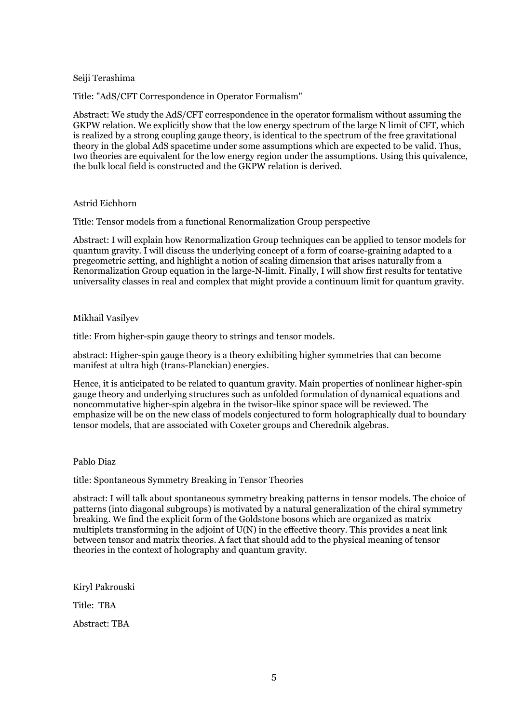#### Seiji Terashima

Title: "AdS/CFT Correspondence in Operator Formalism"

Abstract: We study the AdS/CFT correspondence in the operator formalism without assuming the GKPW relation. We explicitly show that the low energy spectrum of the large N limit of CFT, which is realized by a strong coupling gauge theory, is identical to the spectrum of the free gravitational theory in the global AdS spacetime under some assumptions which are expected to be valid. Thus, two theories are equivalent for the low energy region under the assumptions. Using this quivalence, the bulk local field is constructed and the GKPW relation is derived.

#### Astrid Eichhorn

Title: Tensor models from a functional Renormalization Group perspective

Abstract: I will explain how Renormalization Group techniques can be applied to tensor models for quantum gravity. I will discuss the underlying concept of a form of coarse-graining adapted to a pregeometric setting, and highlight a notion of scaling dimension that arises naturally from a Renormalization Group equation in the large-N-limit. Finally, I will show first results for tentative universality classes in real and complex that might provide a continuum limit for quantum gravity.

#### Mikhail Vasilyev

title: From higher-spin gauge theory to strings and tensor models.

abstract: Higher-spin gauge theory is a theory exhibiting higher symmetries that can become manifest at ultra high (trans-Planckian) energies.

Hence, it is anticipated to be related to quantum gravity. Main properties of nonlinear higher-spin gauge theory and underlying structures such as unfolded formulation of dynamical equations and noncommutative higher-spin algebra in the twisor-like spinor space will be reviewed. The emphasize will be on the new class of models conjectured to form holographically dual to boundary tensor models, that are associated with Coxeter groups and Cherednik algebras.

#### Pablo Diaz

title: Spontaneous Symmetry Breaking in Tensor Theories

abstract: I will talk about spontaneous symmetry breaking patterns in tensor models. The choice of patterns (into diagonal subgroups) is motivated by a natural generalization of the chiral symmetry breaking. We find the explicit form of the Goldstone bosons which are organized as matrix multiplets transforming in the adjoint of U(N) in the effective theory. This provides a neat link between tensor and matrix theories. A fact that should add to the physical meaning of tensor theories in the context of holography and quantum gravity.

Kiryl Pakrouski

Title: TBA

Abstract: TBA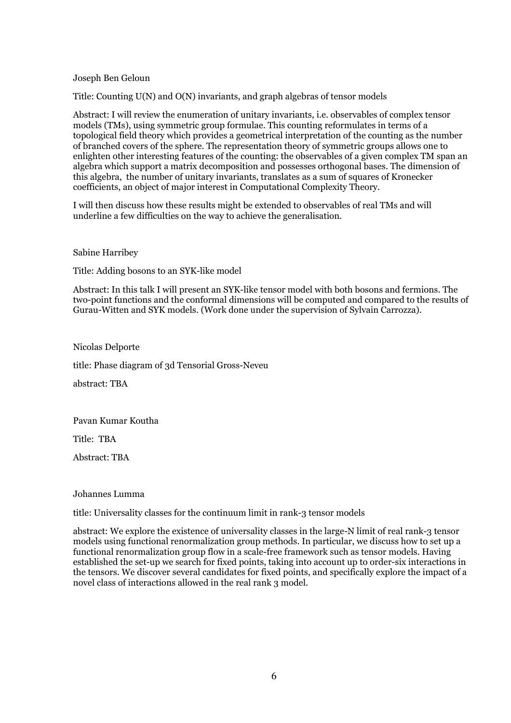#### Joseph Ben Geloun

Title: Counting U(N) and O(N) invariants, and graph algebras of tensor models

Abstract: I will review the enumeration of unitary invariants, i.e. observables of complex tensor models (TMs), using symmetric group formulae. This counting reformulates in terms of a topological field theory which provides a geometrical interpretation of the counting as the number of branched covers of the sphere. The representation theory of symmetric groups allows one to enlighten other interesting features of the counting: the observables of a given complex TM span an algebra which support a matrix decomposition and possesses orthogonal bases. The dimension of this algebra, the number of unitary invariants, translates as a sum of squares of Kronecker coefficients, an object of major interest in Computational Complexity Theory.

I will then discuss how these results might be extended to observables of real TMs and will underline a few difficulties on the way to achieve the generalisation.

Sabine Harribey

Title: Adding bosons to an SYK-like model

Abstract: In this talk I will present an SYK-like tensor model with both bosons and fermions. The two-point functions and the conformal dimensions will be computed and compared to the results of Gurau-Witten and SYK models. (Work done under the supervision of Sylvain Carrozza).

Nicolas Delporte

title: Phase diagram of 3d Tensorial Gross-Neveu

abstract: TBA

Pavan Kumar Koutha

Title: TBA

Abstract: TBA

Johannes Lumma

title: Universality classes for the continuum limit in rank-3 tensor models

abstract: We explore the existence of universality classes in the large-N limit of real rank-3 tensor models using functional renormalization group methods. In particular, we discuss how to set up a functional renormalization group flow in a scale-free framework such as tensor models. Having established the set-up we search for fixed points, taking into account up to order-six interactions in the tensors. We discover several candidates for fixed points, and specifically explore the impact of a novel class of interactions allowed in the real rank 3 model.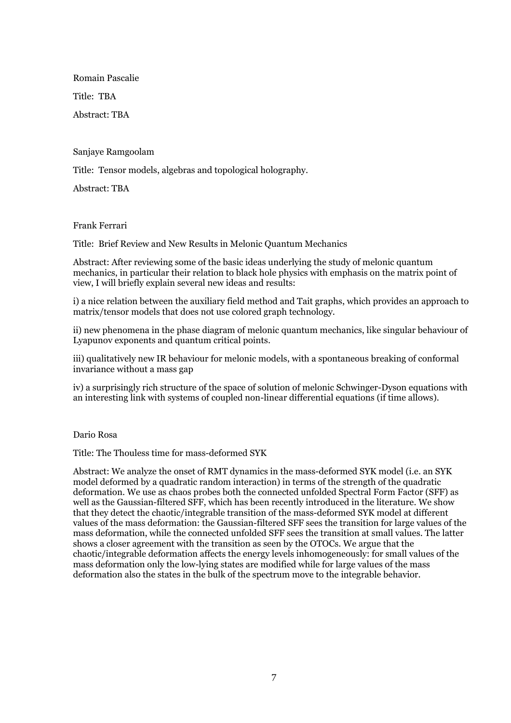Romain Pascalie Title: TBA

Abstract: TBA

Sanjaye Ramgoolam

Title: Tensor models, algebras and topological holography.

Abstract: TBA

Frank Ferrari

Title: Brief Review and New Results in Melonic Quantum Mechanics

Abstract: After reviewing some of the basic ideas underlying the study of melonic quantum mechanics, in particular their relation to black hole physics with emphasis on the matrix point of view, I will briefly explain several new ideas and results:

i) a nice relation between the auxiliary field method and Tait graphs, which provides an approach to matrix/tensor models that does not use colored graph technology.

ii) new phenomena in the phase diagram of melonic quantum mechanics, like singular behaviour of Lyapunov exponents and quantum critical points.

iii) qualitatively new IR behaviour for melonic models, with a spontaneous breaking of conformal invariance without a mass gap

iv) a surprisingly rich structure of the space of solution of melonic Schwinger-Dyson equations with an interesting link with systems of coupled non-linear differential equations (if time allows).

Dario Rosa

Title: The Thouless time for mass-deformed SYK

Abstract: We analyze the onset of RMT dynamics in the mass-deformed SYK model (i.e. an SYK model deformed by a quadratic random interaction) in terms of the strength of the quadratic deformation. We use as chaos probes both the connected unfolded Spectral Form Factor (SFF) as well as the Gaussian-filtered SFF, which has been recently introduced in the literature. We show that they detect the chaotic/integrable transition of the mass-deformed SYK model at different values of the mass deformation: the Gaussian-filtered SFF sees the transition for large values of the mass deformation, while the connected unfolded SFF sees the transition at small values. The latter shows a closer agreement with the transition as seen by the OTOCs. We argue that the chaotic/integrable deformation affects the energy levels inhomogeneously: for small values of the mass deformation only the low-lying states are modified while for large values of the mass deformation also the states in the bulk of the spectrum move to the integrable behavior.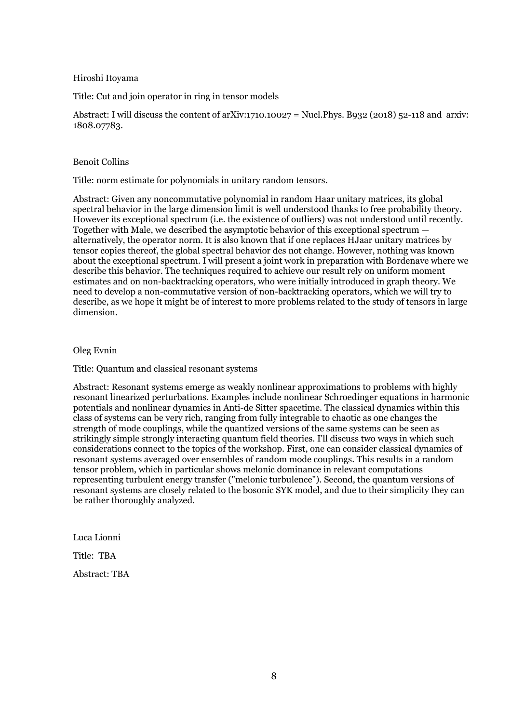#### Hiroshi Itoyama

Title: Cut and join operator in ring in tensor models

Abstract: I will discuss the content of arXiv:1710.10027 = Nucl. Phys. B932 (2018) 52-118 and arxiv: 1808.07783.

#### Benoit Collins

Title: norm estimate for polynomials in unitary random tensors.

Abstract: Given any noncommutative polynomial in random Haar unitary matrices, its global spectral behavior in the large dimension limit is well understood thanks to free probability theory. However its exceptional spectrum (i.e. the existence of outliers) was not understood until recently. Together with Male, we described the asymptotic behavior of this exceptional spectrum  $$ alternatively, the operator norm. It is also known that if one replaces HJaar unitary matrices by tensor copies thereof, the global spectral behavior des not change. However, nothing was known about the exceptional spectrum. I will present a joint work in preparation with Bordenave where we describe this behavior. The techniques required to achieve our result rely on uniform moment estimates and on non-backtracking operators, who were initially introduced in graph theory. We need to develop a non-commutative version of non-backtracking operators, which we will try to describe, as we hope it might be of interest to more problems related to the study of tensors in large dimension.

#### Oleg Evnin

Title: Quantum and classical resonant systems

Abstract: Resonant systems emerge as weakly nonlinear approximations to problems with highly resonant linearized perturbations. Examples include nonlinear Schroedinger equations in harmonic potentials and nonlinear dynamics in Anti-de Sitter spacetime. The classical dynamics within this class of systems can be very rich, ranging from fully integrable to chaotic as one changes the strength of mode couplings, while the quantized versions of the same systems can be seen as strikingly simple strongly interacting quantum field theories. I'll discuss two ways in which such considerations connect to the topics of the workshop. First, one can consider classical dynamics of resonant systems averaged over ensembles of random mode couplings. This results in a random tensor problem, which in particular shows melonic dominance in relevant computations representing turbulent energy transfer ("melonic turbulence"). Second, the quantum versions of resonant systems are closely related to the bosonic SYK model, and due to their simplicity they can be rather thoroughly analyzed.

Luca Lionni

Title: TBA

Abstract: TBA